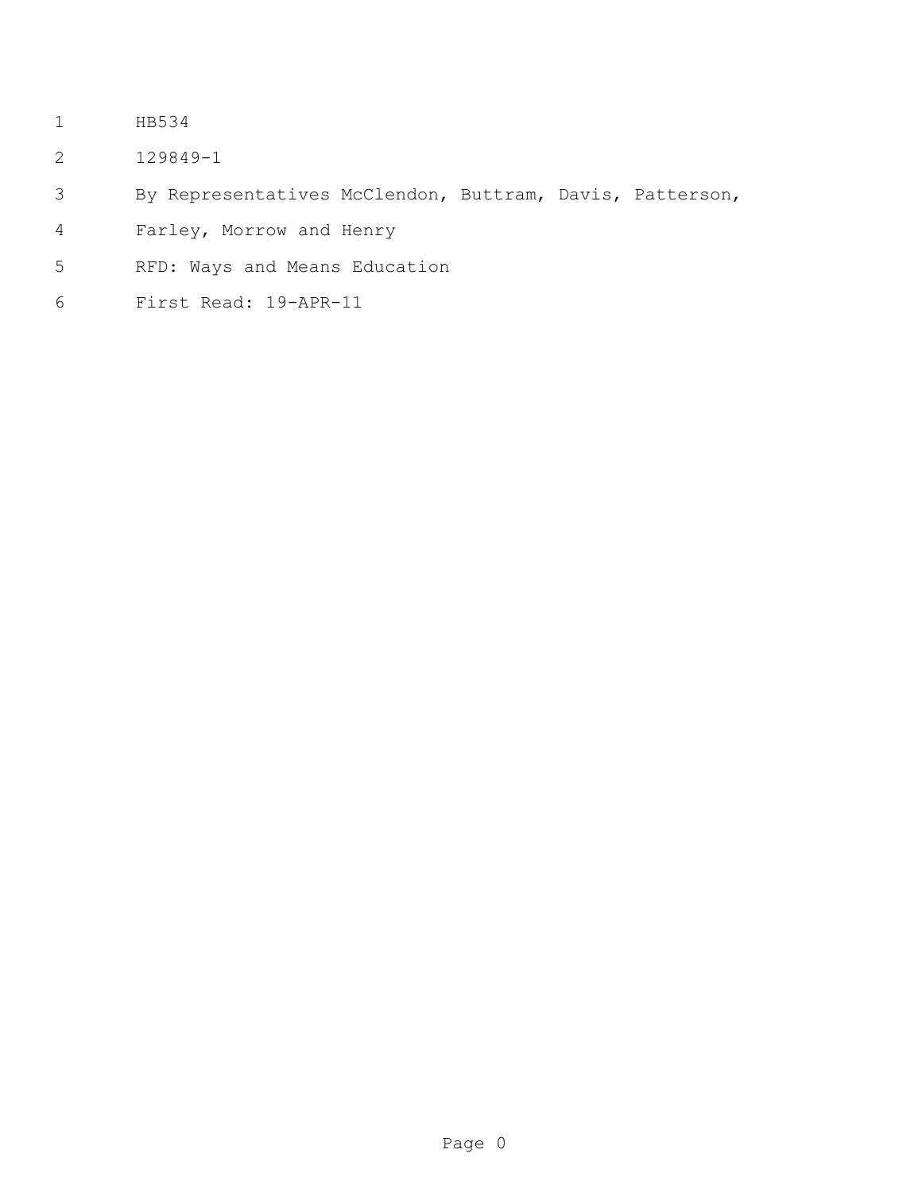- HB534
- 129849-1
- By Representatives McClendon, Buttram, Davis, Patterson,
- Farley, Morrow and Henry
- RFD: Ways and Means Education
- First Read: 19-APR-11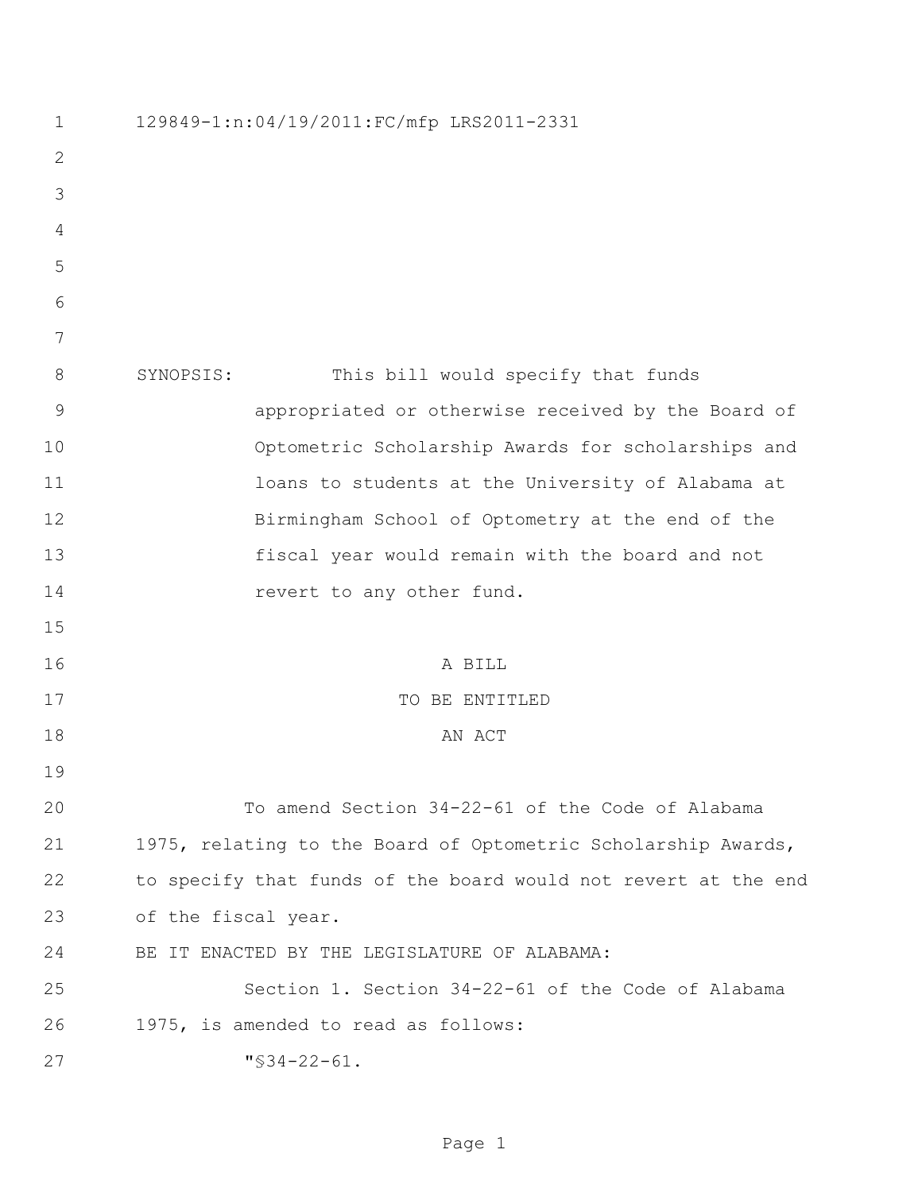| $\mathbf 1$    | 129849-1:n:04/19/2011:FC/mfp LRS2011-2331                      |
|----------------|----------------------------------------------------------------|
| $\overline{2}$ |                                                                |
| 3              |                                                                |
| 4              |                                                                |
| 5              |                                                                |
| 6              |                                                                |
| 7              |                                                                |
| $8\,$          | This bill would specify that funds<br>SYNOPSIS:                |
| $\mathsf 9$    | appropriated or otherwise received by the Board of             |
| 10             | Optometric Scholarship Awards for scholarships and             |
| 11             | loans to students at the University of Alabama at              |
| 12             | Birmingham School of Optometry at the end of the               |
| 13             | fiscal year would remain with the board and not                |
| 14             | revert to any other fund.                                      |
| 15             |                                                                |
| 16             | A BILL                                                         |
| 17             | TO BE ENTITLED                                                 |
| 18             | AN ACT                                                         |
| 19             |                                                                |
| 20             | To amend Section 34-22-61 of the Code of Alabama               |
| 21             | 1975, relating to the Board of Optometric Scholarship Awards,  |
| 22             | to specify that funds of the board would not revert at the end |
| 23             | of the fiscal year.                                            |
| 24             | BE IT ENACTED BY THE LEGISLATURE OF ALABAMA:                   |
| 25             | Section 1. Section 34-22-61 of the Code of Alabama             |
| 26             | 1975, is amended to read as follows:                           |
| 27             | $"$ \$34-22-61.                                                |